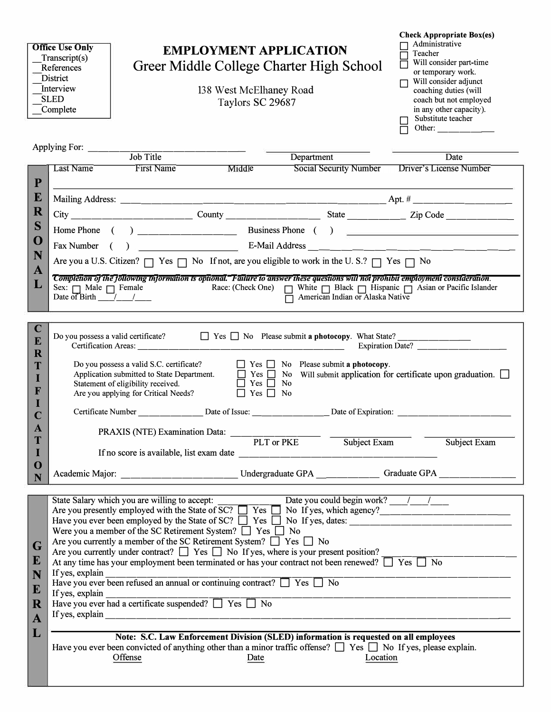| <b>Office Use Only</b><br><b>EMPLOYMENT APPLICATION</b><br>Transcript(s)<br>Greer Middle College Charter High School<br>References<br><b>District</b><br>Interview<br>138 West McElhaney Road<br><b>SLED</b><br>Taylors SC 29687<br>Complete                                                                                                                                                                                                                                                                                                                                                                                |           |                                                                                                                 |                      | <b>Check Appropriate Box(es)</b><br>Administrative<br>Teacher<br>Will consider part-time<br>or temporary work.<br>Will consider adjunct<br>$\Box$<br>coaching duties (will<br>coach but not employed<br>in any other capacity).<br>Substitute teacher<br>Other: $\_\_$ |                                                                                                                                                                                                                                                                                                                                                                                                                                                                                                                 |
|-----------------------------------------------------------------------------------------------------------------------------------------------------------------------------------------------------------------------------------------------------------------------------------------------------------------------------------------------------------------------------------------------------------------------------------------------------------------------------------------------------------------------------------------------------------------------------------------------------------------------------|-----------|-----------------------------------------------------------------------------------------------------------------|----------------------|------------------------------------------------------------------------------------------------------------------------------------------------------------------------------------------------------------------------------------------------------------------------|-----------------------------------------------------------------------------------------------------------------------------------------------------------------------------------------------------------------------------------------------------------------------------------------------------------------------------------------------------------------------------------------------------------------------------------------------------------------------------------------------------------------|
|                                                                                                                                                                                                                                                                                                                                                                                                                                                                                                                                                                                                                             |           | Applying For: Job Title                                                                                         |                      | Department                                                                                                                                                                                                                                                             | Date                                                                                                                                                                                                                                                                                                                                                                                                                                                                                                            |
|                                                                                                                                                                                                                                                                                                                                                                                                                                                                                                                                                                                                                             | Last Name | First Name                                                                                                      | Middle               | <b>Social Security Number</b>                                                                                                                                                                                                                                          | Driver's License Number                                                                                                                                                                                                                                                                                                                                                                                                                                                                                         |
| $\mathbf{P}$                                                                                                                                                                                                                                                                                                                                                                                                                                                                                                                                                                                                                |           |                                                                                                                 |                      |                                                                                                                                                                                                                                                                        |                                                                                                                                                                                                                                                                                                                                                                                                                                                                                                                 |
| E                                                                                                                                                                                                                                                                                                                                                                                                                                                                                                                                                                                                                           |           |                                                                                                                 |                      |                                                                                                                                                                                                                                                                        |                                                                                                                                                                                                                                                                                                                                                                                                                                                                                                                 |
| R                                                                                                                                                                                                                                                                                                                                                                                                                                                                                                                                                                                                                           |           |                                                                                                                 |                      |                                                                                                                                                                                                                                                                        |                                                                                                                                                                                                                                                                                                                                                                                                                                                                                                                 |
| S                                                                                                                                                                                                                                                                                                                                                                                                                                                                                                                                                                                                                           |           |                                                                                                                 |                      |                                                                                                                                                                                                                                                                        |                                                                                                                                                                                                                                                                                                                                                                                                                                                                                                                 |
| O<br>N                                                                                                                                                                                                                                                                                                                                                                                                                                                                                                                                                                                                                      |           |                                                                                                                 |                      |                                                                                                                                                                                                                                                                        |                                                                                                                                                                                                                                                                                                                                                                                                                                                                                                                 |
| A                                                                                                                                                                                                                                                                                                                                                                                                                                                                                                                                                                                                                           |           |                                                                                                                 |                      | Are you a U.S. Citizen? $\Box$ Yes $\Box$ No If not, are you eligible to work in the U.S.? $\Box$ Yes $\Box$ No                                                                                                                                                        |                                                                                                                                                                                                                                                                                                                                                                                                                                                                                                                 |
| L                                                                                                                                                                                                                                                                                                                                                                                                                                                                                                                                                                                                                           |           |                                                                                                                 |                      | American Indian or Alaska Native                                                                                                                                                                                                                                       | Completion of the following information is optional. Failure to answer these questions will not prohibit employment consideration.                                                                                                                                                                                                                                                                                                                                                                              |
|                                                                                                                                                                                                                                                                                                                                                                                                                                                                                                                                                                                                                             |           |                                                                                                                 |                      |                                                                                                                                                                                                                                                                        |                                                                                                                                                                                                                                                                                                                                                                                                                                                                                                                 |
| $\mathbf C$<br>E<br>$\mathbf R$<br>T<br>F<br>$\mathbf{A}$<br>T<br>$\mathbf 0$<br>N                                                                                                                                                                                                                                                                                                                                                                                                                                                                                                                                          |           | Do you possess a valid certificate?<br>Are you applying for Critical Needs?<br>PRAXIS (NTE) Examination Data: _ | $\Box$ Yes $\Box$ No | Certificate Number Date of Issue: Date of Expiration: Date of Expiration:<br>PLT or PKE Subject Exam                                                                                                                                                                   | Expiration Date?<br>Do you possess a valid S.C. certificate?<br>Application submitted to State Department. $\Box$ Yes $\Box$ No Please submit a photocopy.<br>Statement of eligibility received. $\Box$ Yes $\Box$ No Will submit application for certificate<br>Subject Exam<br>Academic Major: Undergraduate GPA Graduate GPA Graduate GPA Creative Communications of the Creative Communication of the Creative Communication of the Creative Communication of the Creative Communication of the Creative Co |
|                                                                                                                                                                                                                                                                                                                                                                                                                                                                                                                                                                                                                             |           |                                                                                                                 |                      |                                                                                                                                                                                                                                                                        |                                                                                                                                                                                                                                                                                                                                                                                                                                                                                                                 |
| Were you a member of the SC Retirement System? $\Box$ Yes $\Box$ No<br>Are you currently a member of the SC Retirement System? $\Box$ Yes $\Box$ No<br>G<br>Are you currently under contract? $\Box$ Yes $\Box$ No If yes, where is your present position?<br>At any time has your employment been terminated or has your contract not been renewed? $\Box$ Yes $\Box$ No<br>${\bf E}$<br>If yes, explain<br>N<br>Have you ever been refused an annual or continuing contract? $\Box$ Yes $\Box$ No<br>${\bf E}$<br>If yes, explain<br>Have you ever had a certificate suspended? $\Box$ Yes $\Box$ No<br>R<br>$\mathbf{A}$ |           |                                                                                                                 |                      |                                                                                                                                                                                                                                                                        |                                                                                                                                                                                                                                                                                                                                                                                                                                                                                                                 |
| L                                                                                                                                                                                                                                                                                                                                                                                                                                                                                                                                                                                                                           |           | Offense                                                                                                         | Date                 | Note: S.C. Law Enforcement Division (SLED) information is requested on all employees<br>Have you ever been convicted of anything other than a minor traffic offense? $\Box$ Yes $\Box$ No If yes, please explain.<br>Location                                          |                                                                                                                                                                                                                                                                                                                                                                                                                                                                                                                 |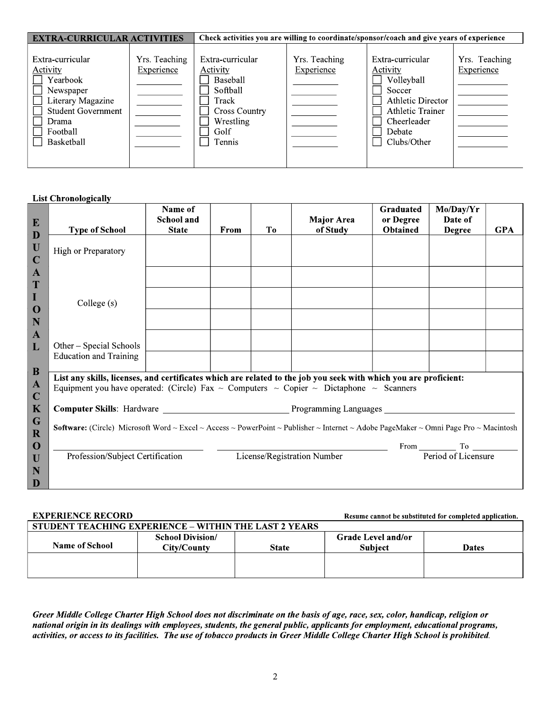| <b>EXTRA-CURRICULAR ACTIVITIES</b>                                                                                                         |                             | Check activities you are willing to coordinate/sponsor/coach and give years of experience                                   |                             |                                                                                                                                                            |                             |  |
|--------------------------------------------------------------------------------------------------------------------------------------------|-----------------------------|-----------------------------------------------------------------------------------------------------------------------------|-----------------------------|------------------------------------------------------------------------------------------------------------------------------------------------------------|-----------------------------|--|
| Extra-curricular<br>Activity<br>Yearbook<br>Newspaper<br>Literary Magazine<br><b>Student Government</b><br>Drama<br>Football<br>Basketball | Yrs. Teaching<br>Experience | Extra-curricular<br><b>Activity</b><br>Baseball<br>Softball<br>Track<br><b>Cross Country</b><br>Wrestling<br>Golf<br>Tennis | Yrs. Teaching<br>Experience | Extra-curricular<br><b>Activity</b><br>Volleyball<br>Soccer<br><b>Athletic Director</b><br><b>Athletic Trainer</b><br>Cheerleader<br>Debate<br>Clubs/Other | Yrs. Teaching<br>Experience |  |

## **List Chronologically**

| E                           |                                                                                                                                                                                                                                                | Name of<br><b>School and</b> |      |                | <b>Major Area</b>           | Graduated<br>or Degree | Mo/Day/Yr<br>Date of           |            |
|-----------------------------|------------------------------------------------------------------------------------------------------------------------------------------------------------------------------------------------------------------------------------------------|------------------------------|------|----------------|-----------------------------|------------------------|--------------------------------|------------|
| D                           | <b>Type of School</b>                                                                                                                                                                                                                          | <b>State</b>                 | From | T <sub>0</sub> | of Study                    | Obtained               | <b>Degree</b>                  | <b>GPA</b> |
| U<br>$\mathbf C$            | High or Preparatory                                                                                                                                                                                                                            |                              |      |                |                             |                        |                                |            |
| $\mathbf{A}$<br>T           |                                                                                                                                                                                                                                                |                              |      |                |                             |                        |                                |            |
| $\mathbf I$<br>$\mathbf 0$  | College (s)                                                                                                                                                                                                                                    |                              |      |                |                             |                        |                                |            |
| N                           |                                                                                                                                                                                                                                                |                              |      |                |                             |                        |                                |            |
| $\mathbf{A}$<br>L           | Other – Special Schools                                                                                                                                                                                                                        |                              |      |                |                             |                        |                                |            |
| $\bf{B}$                    | <b>Education and Training</b>                                                                                                                                                                                                                  |                              |      |                |                             |                        |                                |            |
| $\mathbf{A}$<br>$\mathbf C$ | List any skills, licenses, and certificates which are related to the job you seek with which you are proficient:<br>Equipment you have operated: (Circle) Fax $\sim$ Computers $\sim$ Copier $\sim$ Dictaphone $\sim$ Scanners                 |                              |      |                |                             |                        |                                |            |
| K                           |                                                                                                                                                                                                                                                |                              |      |                |                             |                        |                                |            |
| G<br>$\mathbf R$            | Computer Skills: Hardware Manuel Allen Brogramming Languages Manuel Allen Brogramming Languages<br><b>Software:</b> (Circle) Microsoft Word ~ Excel ~ Access ~ PowerPoint ~ Publisher ~ Internet ~ Adobe PageMaker ~ Omni Page Pro ~ Macintosh |                              |      |                |                             |                        |                                |            |
| $\bf{O}$                    |                                                                                                                                                                                                                                                |                              |      |                |                             |                        | From To To Period of Licensure |            |
| U                           | Profession/Subject Certification                                                                                                                                                                                                               |                              |      |                | License/Registration Number |                        |                                |            |
| N                           |                                                                                                                                                                                                                                                |                              |      |                |                             |                        |                                |            |
| D                           |                                                                                                                                                                                                                                                |                              |      |                |                             |                        |                                |            |

## **EXPERIENCE RECORD**

Resume cannot be substituted for completed application.

| STUDENT TEACHING EXPERIENCE – WITHIN THE LAST 2 YEARS |                                        |              |                                             |              |  |  |  |
|-------------------------------------------------------|----------------------------------------|--------------|---------------------------------------------|--------------|--|--|--|
| <b>Name of School</b>                                 | <b>School Division/</b><br>City/County | <b>State</b> | <b>Grade Level and/or</b><br><b>Subject</b> | <b>Dates</b> |  |  |  |
|                                                       |                                        |              |                                             |              |  |  |  |
|                                                       |                                        |              |                                             |              |  |  |  |
|                                                       |                                        |              |                                             |              |  |  |  |
|                                                       |                                        |              |                                             |              |  |  |  |

Greer Middle College Charter High School does not discriminate on the basis of age, race, sex, color, handicap, religion or national origin in its dealings with employees, students, the general public, applicants for employment, educational programs, activities, or access to its facilities. The use of tobacco products in Greer Middle College Charter High School is prohibited.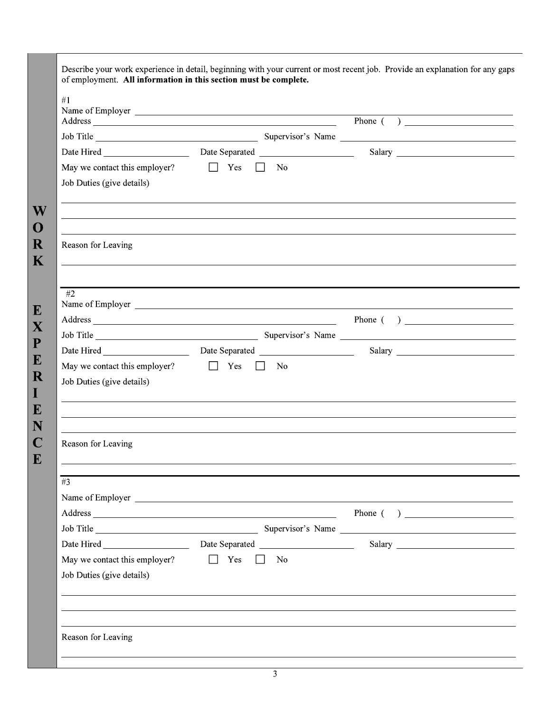| Name of Employer<br>Address Phone ( )                                                                          |           |  |
|----------------------------------------------------------------------------------------------------------------|-----------|--|
| Job Title Supervisor's Name Supervisor's Name Supervisor's Name Supervisor's Name Supervisor's Name Supervisor |           |  |
|                                                                                                                |           |  |
| May we contact this employer? $\Box$ Yes $\Box$ No<br>Job Duties (give details)                                |           |  |
| Reason for Leaving                                                                                             |           |  |
| #2                                                                                                             |           |  |
| Address Phone ( )                                                                                              |           |  |
|                                                                                                                |           |  |
|                                                                                                                |           |  |
| May we contact this employer? $\Box$ Yes $\Box$ No<br>Job Duties (give details)                                |           |  |
| Reason for Leaving                                                                                             |           |  |
| #3                                                                                                             |           |  |
|                                                                                                                |           |  |
| Address Phone ( ) Phone ( )                                                                                    |           |  |
|                                                                                                                |           |  |
|                                                                                                                |           |  |
| May we contact this employer? $\Box$ Yes<br>Job Duties (give details)                                          | $\Box$ No |  |
|                                                                                                                |           |  |
|                                                                                                                |           |  |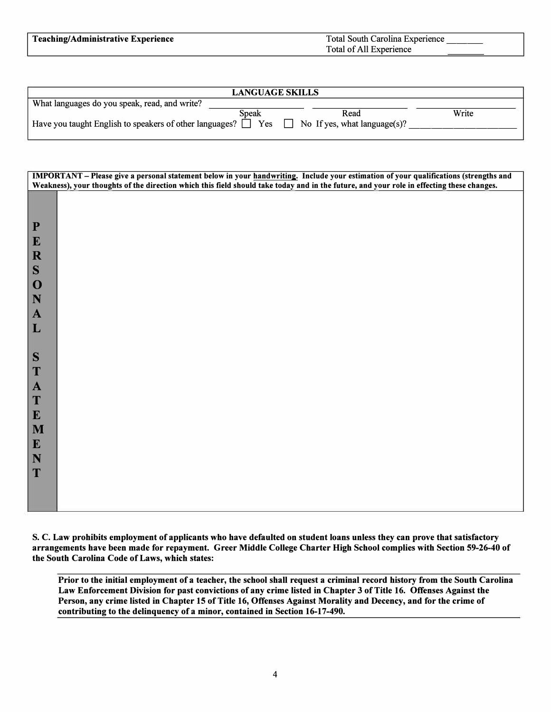| <b>LANGUAGE SKILLS</b>                                                                                 |       |      |       |  |  |  |  |
|--------------------------------------------------------------------------------------------------------|-------|------|-------|--|--|--|--|
| What languages do you speak, read, and write?                                                          |       |      |       |  |  |  |  |
|                                                                                                        | Speak | Read | Write |  |  |  |  |
| Have you taught English to speakers of other languages? $\Box$ Yes $\Box$ No If yes, what language(s)? |       |      |       |  |  |  |  |
|                                                                                                        |       |      |       |  |  |  |  |

|                             | IMPORTANT - Please give a personal statement below in your handwriting. Include your estimation of your qualifications (strengths and<br>Weakness), your thoughts of the direction which this field should take today and in the future, and your role in effecting these changes. |
|-----------------------------|------------------------------------------------------------------------------------------------------------------------------------------------------------------------------------------------------------------------------------------------------------------------------------|
|                             |                                                                                                                                                                                                                                                                                    |
|                             |                                                                                                                                                                                                                                                                                    |
| $\mathbf P$<br>$\mathbf{E}$ |                                                                                                                                                                                                                                                                                    |
| $\mathbf R$                 |                                                                                                                                                                                                                                                                                    |
| S                           |                                                                                                                                                                                                                                                                                    |
| $\mathbf 0$                 |                                                                                                                                                                                                                                                                                    |
| N                           |                                                                                                                                                                                                                                                                                    |
| $\mathbf{A}$                |                                                                                                                                                                                                                                                                                    |
| $\mathbf{L}$                |                                                                                                                                                                                                                                                                                    |
| S                           |                                                                                                                                                                                                                                                                                    |
| T                           |                                                                                                                                                                                                                                                                                    |
| $\mathbf{A}$                |                                                                                                                                                                                                                                                                                    |
| T                           |                                                                                                                                                                                                                                                                                    |
| ${\bf E}$                   |                                                                                                                                                                                                                                                                                    |
| M<br>$\mathbf{E}$           |                                                                                                                                                                                                                                                                                    |
| $\mathbf N$                 |                                                                                                                                                                                                                                                                                    |
| T                           |                                                                                                                                                                                                                                                                                    |
|                             |                                                                                                                                                                                                                                                                                    |
|                             |                                                                                                                                                                                                                                                                                    |

**S. C. Law prohibits employment of applicants who have defaulted on student loans unless they can prove that satisfactory arrangements have been made for repayment. Greer Middle College Charter High School complies with Section 59-26-40 of the South Carolina Code of Laws, which states:**

**Prior to the initial employment of a teacher, the school shall request a criminal record history from the South Carolina Law Enforcement Division for past convictions of any crime listed in Chapter 3 of Title 16. Offenses Against the Person, any crime listed in Chapter 15 of Title 16, Offenses Against Morality and Decency, and for the crime of**  contributing to the delinquency of a minor, contained in Section 16-17-490.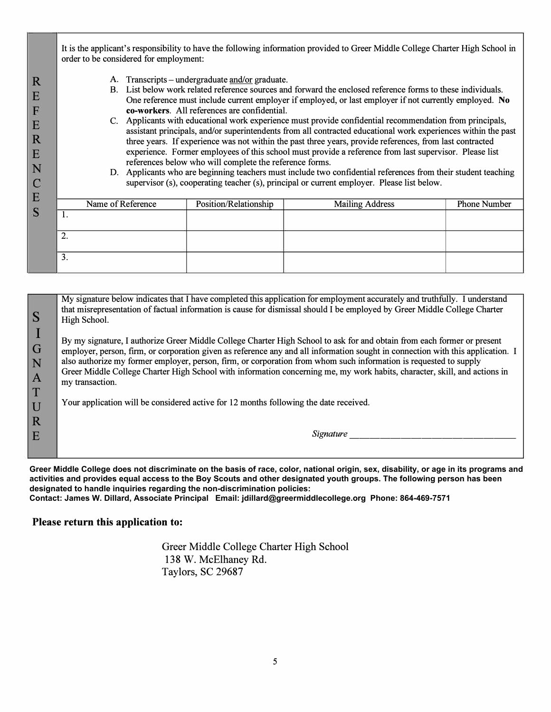It is the applicant's responsibility to have the following information provided to Greer Middle College Charter High School in order to be considered for employment: A. Transcripts – undergraduate and/or graduate. **R**  B. List below work related reference sources and forward the enclosed reference forms to these individuals. **E**  One reference must include current employer if employed, or last employer if not currently employed. **No** F **co-workers.** All references are confidential. C. Applicants with educational work experience must provide confidential recommendation from principals, **E**  assistant principals, and/or superintendents from all contracted educational work experiences within the past **R**  three years. If experience was not within the past three years, provide references, from last contracted experience. Former employees of this school must provide a reference from last supervisor. Please list **E**  references below who will complete the reference forms. **N**  D. Applicants who are beginning teachers must include two confidential references from their student teaching  $\overline{C}$ supervisor (s), cooperating teacher (s), principal or current employer. Please list below. **E**  Name of Reference Position/Relationship Mailing Address Phone Number S 1. 2. 3.

**s**  My signature below indicates that I have completed this application for employment accurately and truthfully. I understand that misrepresentation of factual information is cause for dismissal should I be employed by Greer Middle College Charter High School.

**I G N A T**  By my signature, I authorize Greer Middle College Charter High School to ask for and obtain from each former or present employer, person, firm, or corporation given as reference any and all information sought in connection with this application. I also authorize my former employer, person, firm, or corporation from whom such information is requested to supply Greer Middle College Charter High School with information concerning me, my work habits, character, skill, and actions in my transaction.

Your application will be considered active for 12 months following the date received.

*Signature \_\_\_\_\_\_\_\_\_\_\_\_\_\_\_ \_* 

**Greer Middle College does not discriminate on the basis of race, color, national origin, sex, disability, or age in its programs and activities and provides equal access to the Boy Scouts and other designated youth groups. The following person has been designated to handle inquiries regarding the non-discrimination policies:**

**Contact: James W. Dillard, Associate Principal Email: jdillard@greermiddlecollege.org Phone: 864-469-7571**

## **Please return this application to:**

**u u R E** 

> Greer Middle College Charter High School 138 W. McElhaney Rd. Taylors, SC 29687